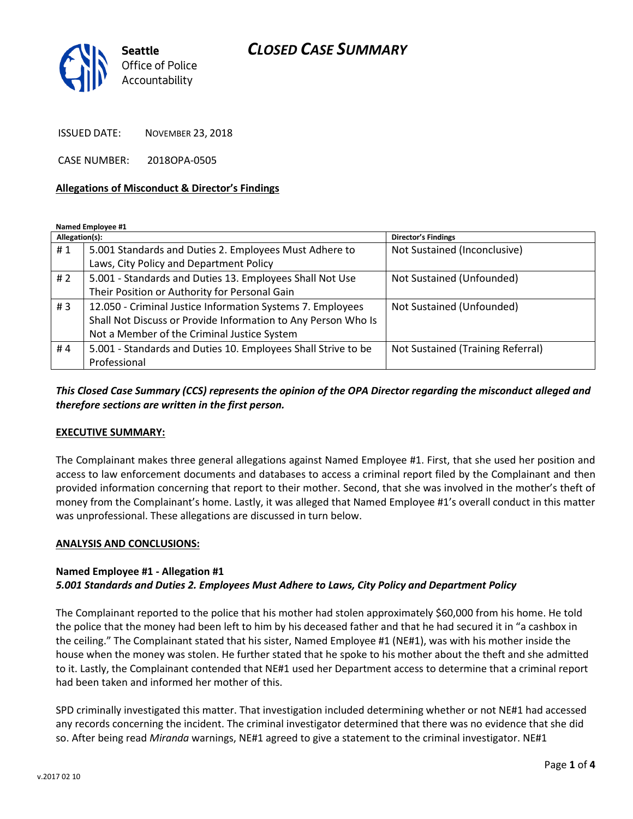## *CLOSED CASE SUMMARY*



ISSUED DATE: NOVEMBER 23, 2018

CASE NUMBER: 2018OPA-0505

#### **Allegations of Misconduct & Director's Findings**

**Named Employee #1**

| Allegation(s): |                                                               | Director's Findings               |
|----------------|---------------------------------------------------------------|-----------------------------------|
| #1             | 5.001 Standards and Duties 2. Employees Must Adhere to        | Not Sustained (Inconclusive)      |
|                | Laws, City Policy and Department Policy                       |                                   |
| # $2$          | 5.001 - Standards and Duties 13. Employees Shall Not Use      | Not Sustained (Unfounded)         |
|                | Their Position or Authority for Personal Gain                 |                                   |
| #3             | 12.050 - Criminal Justice Information Systems 7. Employees    | Not Sustained (Unfounded)         |
|                | Shall Not Discuss or Provide Information to Any Person Who Is |                                   |
|                | Not a Member of the Criminal Justice System                   |                                   |
| #4             | 5.001 - Standards and Duties 10. Employees Shall Strive to be | Not Sustained (Training Referral) |
|                | Professional                                                  |                                   |

*This Closed Case Summary (CCS) represents the opinion of the OPA Director regarding the misconduct alleged and therefore sections are written in the first person.* 

### **EXECUTIVE SUMMARY:**

The Complainant makes three general allegations against Named Employee #1. First, that she used her position and access to law enforcement documents and databases to access a criminal report filed by the Complainant and then provided information concerning that report to their mother. Second, that she was involved in the mother's theft of money from the Complainant's home. Lastly, it was alleged that Named Employee #1's overall conduct in this matter was unprofessional. These allegations are discussed in turn below.

#### **ANALYSIS AND CONCLUSIONS:**

### **Named Employee #1 - Allegation #1** *5.001 Standards and Duties 2. Employees Must Adhere to Laws, City Policy and Department Policy*

The Complainant reported to the police that his mother had stolen approximately \$60,000 from his home. He told the police that the money had been left to him by his deceased father and that he had secured it in "a cashbox in the ceiling." The Complainant stated that his sister, Named Employee #1 (NE#1), was with his mother inside the house when the money was stolen. He further stated that he spoke to his mother about the theft and she admitted to it. Lastly, the Complainant contended that NE#1 used her Department access to determine that a criminal report had been taken and informed her mother of this.

SPD criminally investigated this matter. That investigation included determining whether or not NE#1 had accessed any records concerning the incident. The criminal investigator determined that there was no evidence that she did so. After being read *Miranda* warnings, NE#1 agreed to give a statement to the criminal investigator. NE#1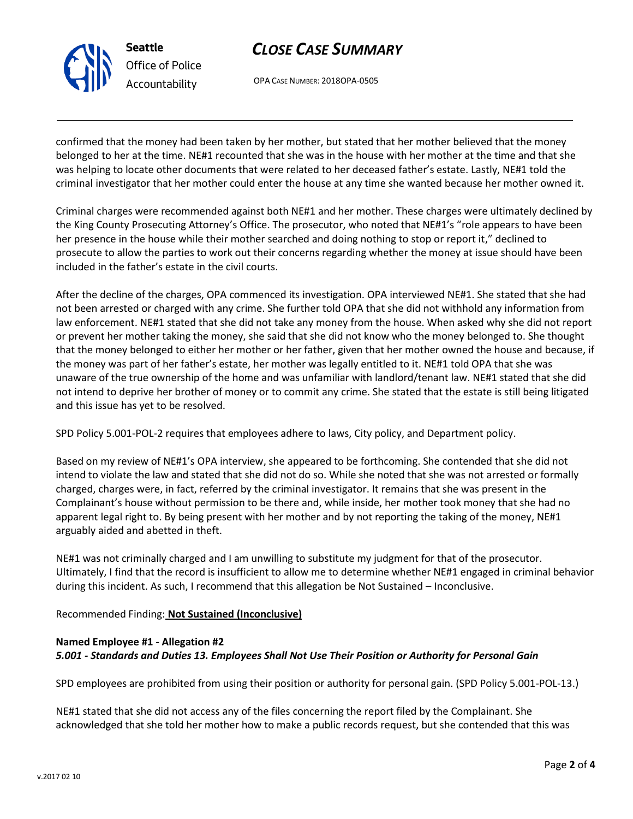

# *CLOSE CASE SUMMARY*

OPA CASE NUMBER: 2018OPA-0505

confirmed that the money had been taken by her mother, but stated that her mother believed that the money belonged to her at the time. NE#1 recounted that she was in the house with her mother at the time and that she was helping to locate other documents that were related to her deceased father's estate. Lastly, NE#1 told the criminal investigator that her mother could enter the house at any time she wanted because her mother owned it.

Criminal charges were recommended against both NE#1 and her mother. These charges were ultimately declined by the King County Prosecuting Attorney's Office. The prosecutor, who noted that NE#1's "role appears to have been her presence in the house while their mother searched and doing nothing to stop or report it," declined to prosecute to allow the parties to work out their concerns regarding whether the money at issue should have been included in the father's estate in the civil courts.

After the decline of the charges, OPA commenced its investigation. OPA interviewed NE#1. She stated that she had not been arrested or charged with any crime. She further told OPA that she did not withhold any information from law enforcement. NE#1 stated that she did not take any money from the house. When asked why she did not report or prevent her mother taking the money, she said that she did not know who the money belonged to. She thought that the money belonged to either her mother or her father, given that her mother owned the house and because, if the money was part of her father's estate, her mother was legally entitled to it. NE#1 told OPA that she was unaware of the true ownership of the home and was unfamiliar with landlord/tenant law. NE#1 stated that she did not intend to deprive her brother of money or to commit any crime. She stated that the estate is still being litigated and this issue has yet to be resolved.

SPD Policy 5.001-POL-2 requires that employees adhere to laws, City policy, and Department policy.

Based on my review of NE#1's OPA interview, she appeared to be forthcoming. She contended that she did not intend to violate the law and stated that she did not do so. While she noted that she was not arrested or formally charged, charges were, in fact, referred by the criminal investigator. It remains that she was present in the Complainant's house without permission to be there and, while inside, her mother took money that she had no apparent legal right to. By being present with her mother and by not reporting the taking of the money, NE#1 arguably aided and abetted in theft.

NE#1 was not criminally charged and I am unwilling to substitute my judgment for that of the prosecutor. Ultimately, I find that the record is insufficient to allow me to determine whether NE#1 engaged in criminal behavior during this incident. As such, I recommend that this allegation be Not Sustained – Inconclusive.

Recommended Finding: **Not Sustained (Inconclusive)**

## **Named Employee #1 - Allegation #2** *5.001 - Standards and Duties 13. Employees Shall Not Use Their Position or Authority for Personal Gain*

SPD employees are prohibited from using their position or authority for personal gain. (SPD Policy 5.001-POL-13.)

NE#1 stated that she did not access any of the files concerning the report filed by the Complainant. She acknowledged that she told her mother how to make a public records request, but she contended that this was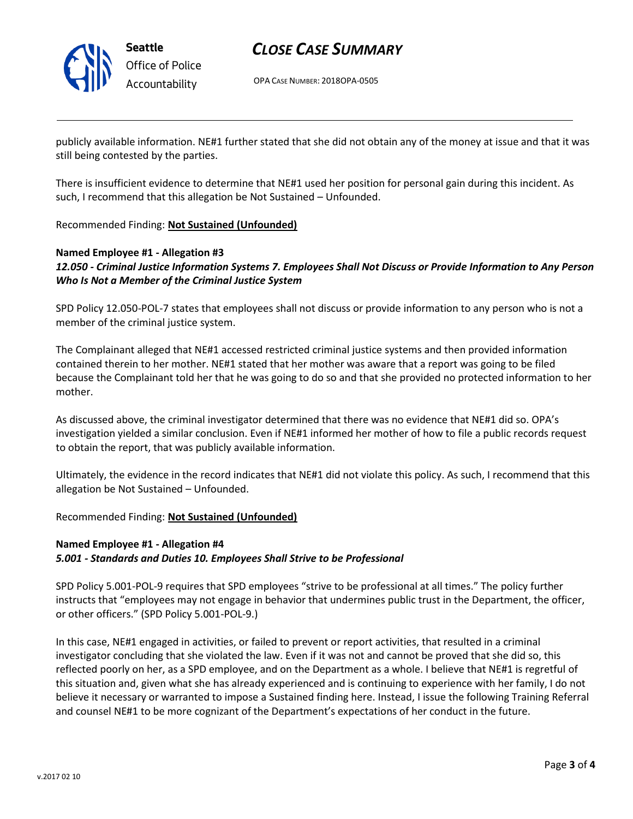

## *CLOSE CASE SUMMARY*

OPA CASE NUMBER: 2018OPA-0505

publicly available information. NE#1 further stated that she did not obtain any of the money at issue and that it was still being contested by the parties.

There is insufficient evidence to determine that NE#1 used her position for personal gain during this incident. As such, I recommend that this allegation be Not Sustained – Unfounded.

Recommended Finding: **Not Sustained (Unfounded)**

### **Named Employee #1 - Allegation #3** *12.050 - Criminal Justice Information Systems 7. Employees Shall Not Discuss or Provide Information to Any Person Who Is Not a Member of the Criminal Justice System*

SPD Policy 12.050-POL-7 states that employees shall not discuss or provide information to any person who is not a member of the criminal justice system.

The Complainant alleged that NE#1 accessed restricted criminal justice systems and then provided information contained therein to her mother. NE#1 stated that her mother was aware that a report was going to be filed because the Complainant told her that he was going to do so and that she provided no protected information to her mother.

As discussed above, the criminal investigator determined that there was no evidence that NE#1 did so. OPA's investigation yielded a similar conclusion. Even if NE#1 informed her mother of how to file a public records request to obtain the report, that was publicly available information.

Ultimately, the evidence in the record indicates that NE#1 did not violate this policy. As such, I recommend that this allegation be Not Sustained – Unfounded.

Recommended Finding: **Not Sustained (Unfounded)**

### **Named Employee #1 - Allegation #4** *5.001 - Standards and Duties 10. Employees Shall Strive to be Professional*

SPD Policy 5.001-POL-9 requires that SPD employees "strive to be professional at all times." The policy further instructs that "employees may not engage in behavior that undermines public trust in the Department, the officer, or other officers." (SPD Policy 5.001-POL-9.)

In this case, NE#1 engaged in activities, or failed to prevent or report activities, that resulted in a criminal investigator concluding that she violated the law. Even if it was not and cannot be proved that she did so, this reflected poorly on her, as a SPD employee, and on the Department as a whole. I believe that NE#1 is regretful of this situation and, given what she has already experienced and is continuing to experience with her family, I do not believe it necessary or warranted to impose a Sustained finding here. Instead, I issue the following Training Referral and counsel NE#1 to be more cognizant of the Department's expectations of her conduct in the future.